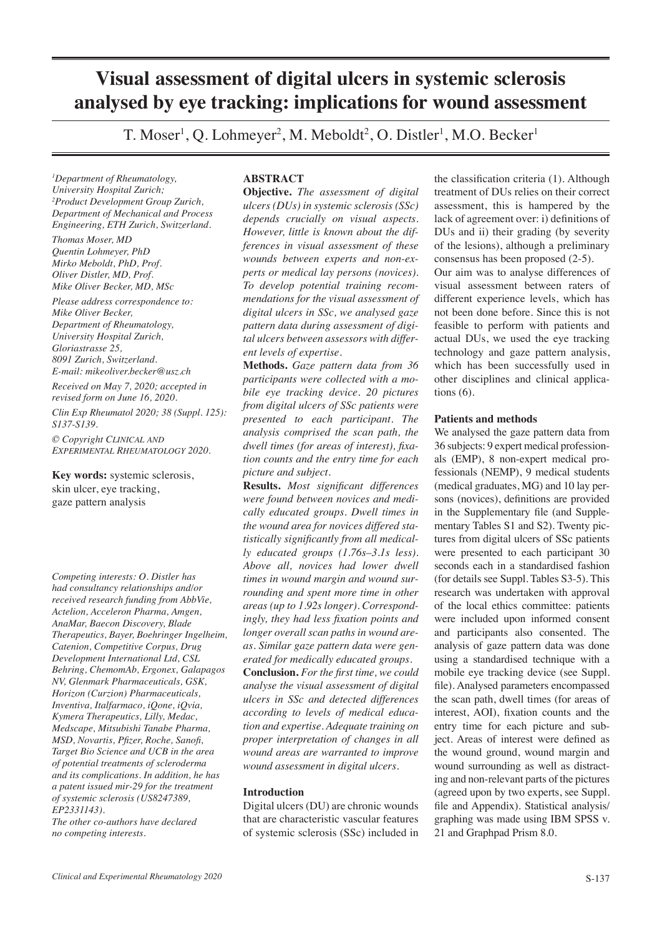# **Visual assessment of digital ulcers in systemic sclerosis analysed by eye tracking: implications for wound assessment**

T. Moser<sup>1</sup>, Q. Lohmeyer<sup>2</sup>, M. Meboldt<sup>2</sup>, O. Distler<sup>1</sup>, M.O. Becker<sup>1</sup>

*1 Department of Rheumatology, University Hospital Zurich; 2 Product Development Group Zurich, Department of Mechanical and Process Engineering, ETH Zurich, Switzerland.*

*Thomas Moser, MD Quentin Lohmeyer, PhD Mirko Meboldt, PhD, Prof. Oliver Distler, MD, Prof. Mike Oliver Becker, MD, MSc*

*Please address correspondence to: Mike Oliver Becker, Department of Rheumatology, University Hospital Zurich, Gloriastrasse 25, 8091 Zurich, Switzerland. E-mail: mikeoliver.becker@usz.ch Received on May 7, 2020; accepted in revised form on June 16, 2020.*

*Clin Exp Rheumatol 2020; 38 (Suppl. 125): S137-S139.*

*© Copyright Clinical and Experimental Rheumatology 2020.*

**Key words:** systemic sclerosis, skin ulcer, eye tracking, gaze pattern analysis

*Competing interests: O. Distler has had consultancy relationships and/or received research funding from AbbVie, Actelion, Acceleron Pharma, Amgen, AnaMar, Baecon Discovery, Blade Therapeutics, Bayer, Boehringer Ingelheim, Catenion, Competitive Corpus, Drug Development International Ltd, CSL Behring, ChemomAb, Ergonex, Galapagos NV, Glenmark Pharmaceuticals, GSK, Horizon (Curzion) Pharmaceuticals, Inventiva, Italfarmaco, iQone, iQvia, Kymera Therapeutics, Lilly, Medac, Medscape, Mitsubishi Tanabe Pharma, MSD, Novartis, Pfizer, Roche, Sanofi, Target Bio Science and UCB in the area of potential treatments of scleroderma and its complications. In addition, he has a patent issued mir-29 for the treatment of systemic sclerosis (US8247389, EP2331143).* 

*The other co-authors have declared no competing interests.*

# **ABSTRACT**

**Objective.** *The assessment of digital ulcers (DUs) in systemic sclerosis (SSc) depends crucially on visual aspects. However, little is known about the differences in visual assessment of these wounds between experts and non-experts or medical lay persons (novices). To develop potential training recommendations for the visual assessment of digital ulcers in SSc, we analysed gaze pattern data during assessment of digital ulcers between assessors with different levels of expertise.* 

**Methods.** *Gaze pattern data from 36 participants were collected with a mobile eye tracking device. 20 pictures from digital ulcers of SSc patients were presented to each participant. The analysis comprised the scan path, the dwell times (for areas of interest), fixation counts and the entry time for each picture and subject.* 

**Results.** *Most significant differences were found between novices and medically educated groups. Dwell times in the wound area for novices differed statistically significantly from all medically educated groups (1.76s–3.1s less). Above all, novices had lower dwell times in wound margin and wound surrounding and spent more time in other areas (up to 1.92s longer). Correspondingly, they had less fixation points and longer overall scan paths in wound areas. Similar gaze pattern data were generated for medically educated groups.* 

**Conclusion.** *For the first time, we could analyse the visual assessment of digital ulcers in SSc and detected differences according to levels of medical education and expertise. Adequate training on proper interpretation of changes in all wound areas are warranted to improve wound assessment in digital ulcers.* 

## **Introduction**

Digital ulcers (DU) are chronic wounds that are characteristic vascular features of systemic sclerosis (SSc) included in

the classification criteria (1). Although treatment of DUs relies on their correct assessment, this is hampered by the lack of agreement over: i) definitions of DUs and ii) their grading (by severity of the lesions), although a preliminary consensus has been proposed (2-5). Our aim was to analyse differences of visual assessment between raters of different experience levels, which has not been done before. Since this is not feasible to perform with patients and actual DUs, we used the eye tracking technology and gaze pattern analysis, which has been successfully used in other disciplines and clinical applications (6).

## **Patients and methods**

We analysed the gaze pattern data from 36 subjects: 9 expert medical professionals (EMP), 8 non-expert medical professionals (NEMP), 9 medical students (medical graduates, MG) and 10 lay persons (novices), definitions are provided in the Supplementary file (and Supplementary Tables S1 and S2). Twenty pictures from digital ulcers of SSc patients were presented to each participant 30 seconds each in a standardised fashion (for details see Suppl. Tables S3-5). This research was undertaken with approval of the local ethics committee: patients were included upon informed consent and participants also consented. The analysis of gaze pattern data was done using a standardised technique with a mobile eye tracking device (see Suppl. file). Analysed parameters encompassed the scan path, dwell times (for areas of interest, AOI), fixation counts and the entry time for each picture and subject. Areas of interest were defined as the wound ground, wound margin and wound surrounding as well as distracting and non-relevant parts of the pictures (agreed upon by two experts, see Suppl. file and Appendix). Statistical analysis/ graphing was made using IBM SPSS v. 21 and Graphpad Prism 8.0.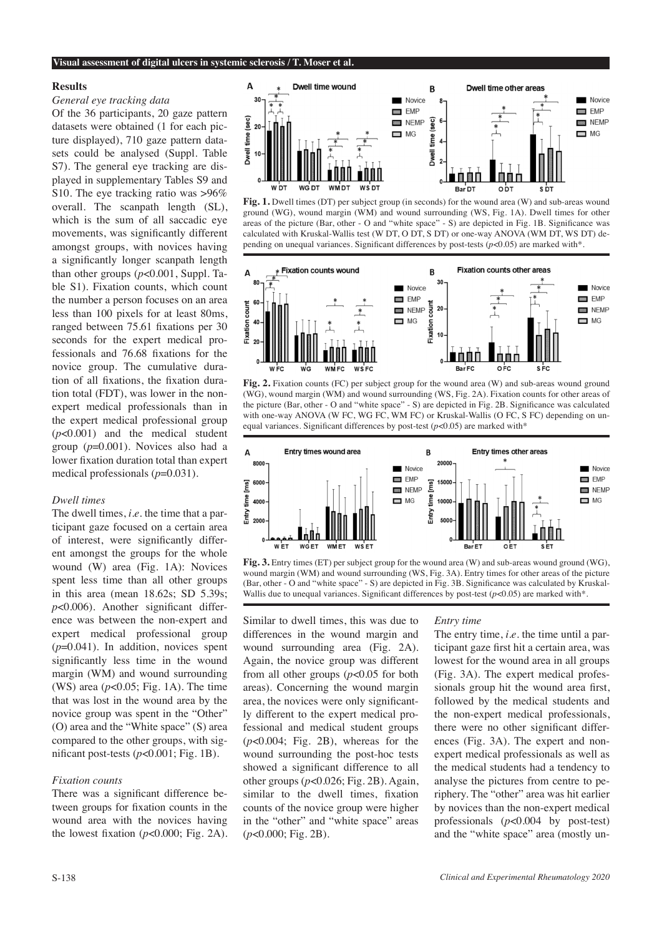#### **Visual assessment of digital ulcers in systemic sclerosis / T. Moser et al.**

#### **Results**

## *General eye tracking data*

Of the 36 participants, 20 gaze pattern datasets were obtained (1 for each picture displayed), 710 gaze pattern datasets could be analysed (Suppl. Table S7). The general eye tracking are displayed in supplementary Tables S9 and S10. The eye tracking ratio was >96% overall. The scanpath length (SL), which is the sum of all saccadic eye movements, was significantly different amongst groups, with novices having a significantly longer scanpath length than other groups (*p*<0.001, Suppl. Table S1). Fixation counts, which count the number a person focuses on an area less than 100 pixels for at least 80ms, ranged between 75.61 fixations per 30 seconds for the expert medical professionals and 76.68 fixations for the novice group. The cumulative duration of all fixations, the fixation duration total (FDT), was lower in the nonexpert medical professionals than in the expert medical professional group (*p*<0.001) and the medical student group (*p*=0.001). Novices also had a lower fixation duration total than expert medical professionals (*p*=0.031).

## *Dwell times*

The dwell times, *i.e.* the time that a participant gaze focused on a certain area of interest, were significantly different amongst the groups for the whole wound (W) area (Fig. 1A): Novices spent less time than all other groups in this area (mean 18.62s; SD 5.39s; *p*<0.006). Another significant difference was between the non-expert and expert medical professional group (*p*=0.041). In addition, novices spent significantly less time in the wound margin (WM) and wound surrounding (WS) area (*p*<0.05; Fig. 1A). The time that was lost in the wound area by the novice group was spent in the "Other" (O) area and the "White space" (S) area compared to the other groups, with significant post-tests (*p*<0.001; Fig. 1B).

## *Fixation counts*

There was a significant difference between groups for fixation counts in the wound area with the novices having the lowest fixation  $(p<0.000;$  Fig. 2A).



**Fig. 1.** Dwell times (DT) per subject group (in seconds) for the wound area (W) and sub-areas wound ground (WG), wound margin (WM) and wound surrounding (WS, Fig. 1A). Dwell times for other areas of the picture (Bar, other - O and "white space" - S) are depicted in Fig. 1B. Significance was calculated with Kruskal-Wallis test (W DT, O DT, S DT) or one-way ANOVA (WM DT, WS DT) depending on unequal variances. Significant differences by post-tests (*p*<0.05) are marked with\*.



**Fig. 2.** Fixation counts (FC) per subject group for the wound area (W) and sub-areas wound ground (WG), wound margin (WM) and wound surrounding (WS, Fig. 2A). Fixation counts for other areas of the picture (Bar, other - O and "white space" - S) are depicted in Fig. 2B. Significance was calculated with one-way ANOVA (W FC, WG FC, WM FC) or Kruskal-Wallis (O FC, S FC) depending on unequal variances. Significant differences by post-test  $(p<0.05)$  are marked with\*



**Fig. 3.** Entry times (ET) per subject group for the wound area (W) and sub-areas wound ground (WG), wound margin (WM) and wound surrounding (WS, Fig. 3A). Entry times for other areas of the picture (Bar, other - O and "white space" - S) are depicted in Fig. 3B. Significance was calculated by Kruskal-Wallis due to unequal variances. Significant differences by post-test ( $p$ <0.05) are marked with\*.

Similar to dwell times, this was due to differences in the wound margin and wound surrounding area (Fig. 2A). Again, the novice group was different from all other groups (*p*<0.05 for both areas). Concerning the wound margin area, the novices were only significantly different to the expert medical professional and medical student groups (*p*<0.004; Fig. 2B), whereas for the wound surrounding the post-hoc tests showed a significant difference to all other groups  $(p<0.026; Fig. 2B)$ . Again, similar to the dwell times, fixation counts of the novice group were higher in the "other" and "white space" areas (*p*<0.000; Fig. 2B).

#### *Entry time*

The entry time, *i.e.* the time until a participant gaze first hit a certain area, was lowest for the wound area in all groups (Fig. 3A). The expert medical professionals group hit the wound area first, followed by the medical students and the non-expert medical professionals, there were no other significant differences (Fig. 3A). The expert and nonexpert medical professionals as well as the medical students had a tendency to analyse the pictures from centre to periphery. The "other" area was hit earlier by novices than the non-expert medical professionals (*p*<0.004 by post-test) and the "white space" area (mostly un